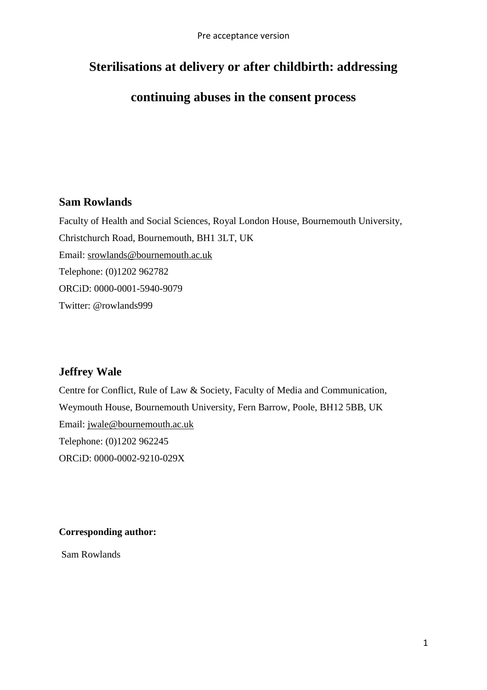# **Sterilisations at delivery or after childbirth: addressing**

# **continuing abuses in the consent process**

## **Sam Rowlands**

Faculty of Health and Social Sciences, Royal London House, Bournemouth University, Christchurch Road, Bournemouth, BH1 3LT, UK Email: [srowlands@bournemouth.ac.uk](mailto:srowlands@bournemouth.ac.uk)  Telephone: (0)1202 962782 ORCiD: 0000-0001-5940-9079 Twitter: @rowlands999

## **Jeffrey Wale**

Centre for Conflict, Rule of Law & Society, Faculty of Media and Communication, Weymouth House, Bournemouth University, Fern Barrow, Poole, BH12 5BB, UK Email: [jwale@bournemouth.ac.uk](mailto:jwale@bournemouth.ac.uk) Telephone: (0)1202 962245 ORCiD: 0000-0002-9210-029X

**Corresponding author:**

Sam Rowlands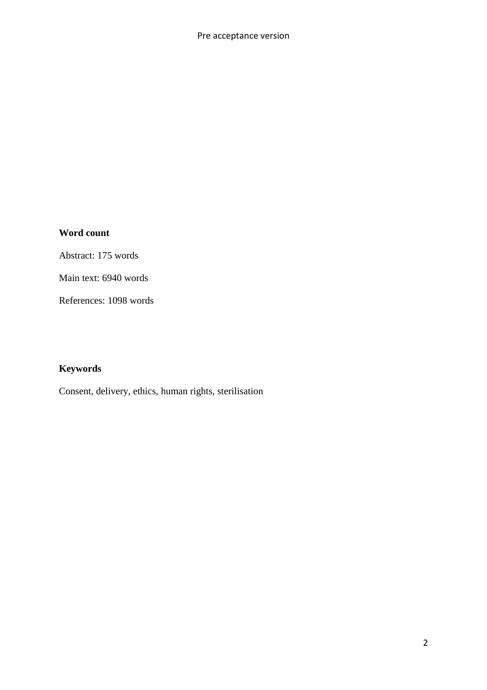## **Word count**

Abstract: 175 words

Main text: 6940 words

References: 1098 words

## **Keywords**

Consent, delivery, ethics, human rights, sterilisation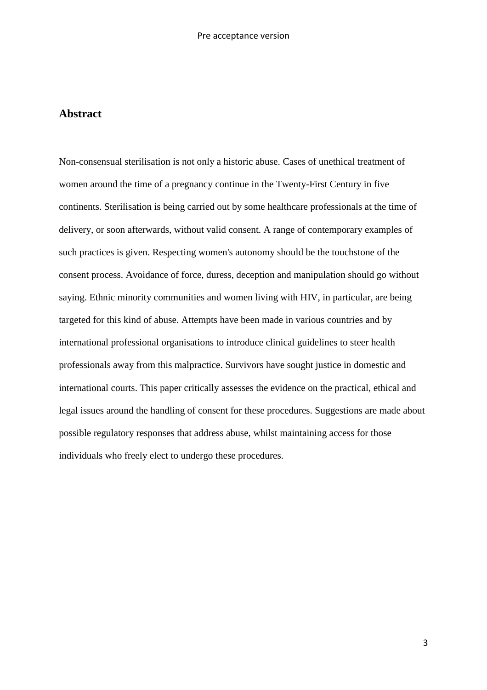## **Abstract**

Non-consensual sterilisation is not only a historic abuse. Cases of unethical treatment of women around the time of a pregnancy continue in the Twenty-First Century in five continents. Sterilisation is being carried out by some healthcare professionals at the time of delivery, or soon afterwards, without valid consent. A range of contemporary examples of such practices is given. Respecting women's autonomy should be the touchstone of the consent process. Avoidance of force, duress, deception and manipulation should go without saying. Ethnic minority communities and women living with HIV, in particular, are being targeted for this kind of abuse. Attempts have been made in various countries and by international professional organisations to introduce clinical guidelines to steer health professionals away from this malpractice. Survivors have sought justice in domestic and international courts. This paper critically assesses the evidence on the practical, ethical and legal issues around the handling of consent for these procedures. Suggestions are made about possible regulatory responses that address abuse, whilst maintaining access for those individuals who freely elect to undergo these procedures.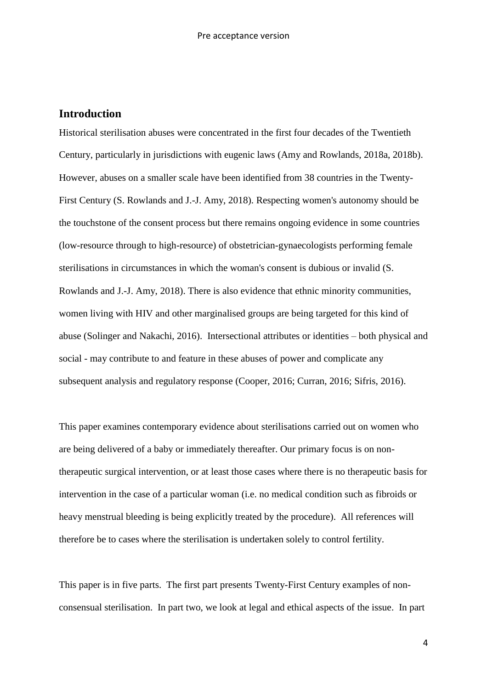## **Introduction**

Historical sterilisation abuses were concentrated in the first four decades of the Twentieth Century, particularly in jurisdictions with eugenic laws (Amy and Rowlands, 2018a, 2018b). However, abuses on a smaller scale have been identified from 38 countries in the Twenty-First Century (S. Rowlands and J.-J. Amy, 2018). Respecting women's autonomy should be the touchstone of the consent process but there remains ongoing evidence in some countries (low-resource through to high-resource) of obstetrician-gynaecologists performing female sterilisations in circumstances in which the woman's consent is dubious or invalid (S. Rowlands and J.-J. Amy, 2018). There is also evidence that ethnic minority communities, women living with HIV and other marginalised groups are being targeted for this kind of abuse (Solinger and Nakachi, 2016). Intersectional attributes or identities – both physical and social - may contribute to and feature in these abuses of power and complicate any subsequent analysis and regulatory response (Cooper, 2016; Curran, 2016; Sifris, 2016).

This paper examines contemporary evidence about sterilisations carried out on women who are being delivered of a baby or immediately thereafter. Our primary focus is on nontherapeutic surgical intervention, or at least those cases where there is no therapeutic basis for intervention in the case of a particular woman (i.e. no medical condition such as fibroids or heavy menstrual bleeding is being explicitly treated by the procedure). All references will therefore be to cases where the sterilisation is undertaken solely to control fertility.

This paper is in five parts. The first part presents Twenty-First Century examples of nonconsensual sterilisation. In part two, we look at legal and ethical aspects of the issue. In part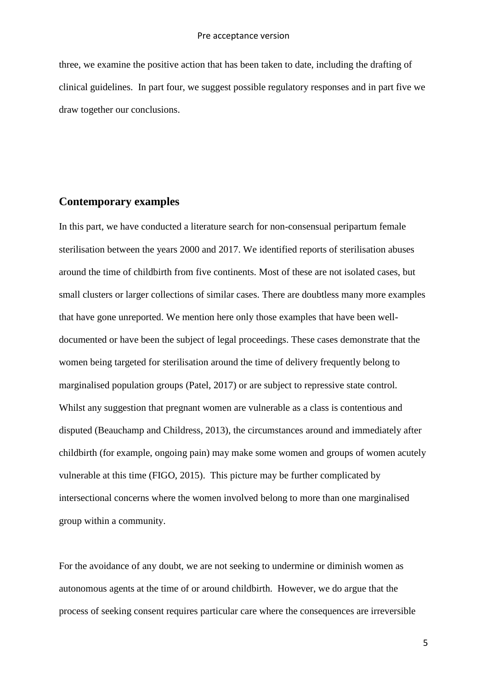three, we examine the positive action that has been taken to date, including the drafting of clinical guidelines. In part four, we suggest possible regulatory responses and in part five we draw together our conclusions.

## **Contemporary examples**

In this part, we have conducted a literature search for non-consensual peripartum female sterilisation between the years 2000 and 2017. We identified reports of sterilisation abuses around the time of childbirth from five continents. Most of these are not isolated cases, but small clusters or larger collections of similar cases. There are doubtless many more examples that have gone unreported. We mention here only those examples that have been welldocumented or have been the subject of legal proceedings. These cases demonstrate that the women being targeted for sterilisation around the time of delivery frequently belong to marginalised population groups (Patel, 2017) or are subject to repressive state control. Whilst any suggestion that pregnant women are vulnerable as a class is contentious and disputed (Beauchamp and Childress, 2013), the circumstances around and immediately after childbirth (for example, ongoing pain) may make some women and groups of women acutely vulnerable at this time (FIGO, 2015). This picture may be further complicated by intersectional concerns where the women involved belong to more than one marginalised group within a community.

For the avoidance of any doubt, we are not seeking to undermine or diminish women as autonomous agents at the time of or around childbirth. However, we do argue that the process of seeking consent requires particular care where the consequences are irreversible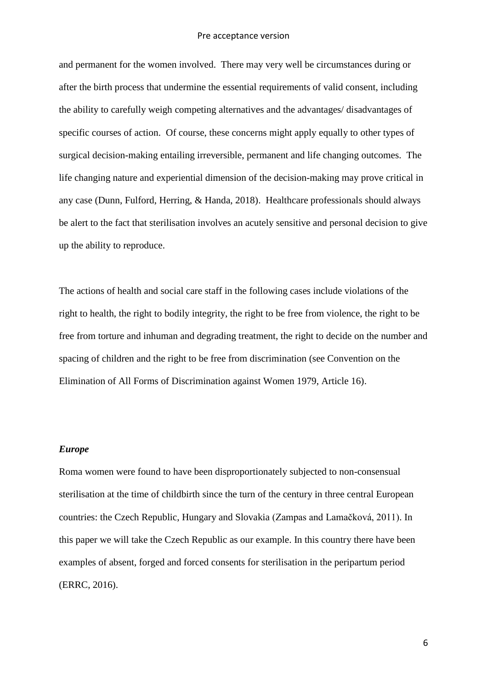and permanent for the women involved. There may very well be circumstances during or after the birth process that undermine the essential requirements of valid consent, including the ability to carefully weigh competing alternatives and the advantages/ disadvantages of specific courses of action. Of course, these concerns might apply equally to other types of surgical decision-making entailing irreversible, permanent and life changing outcomes. The life changing nature and experiential dimension of the decision-making may prove critical in any case (Dunn, Fulford, Herring, & Handa, 2018). Healthcare professionals should always be alert to the fact that sterilisation involves an acutely sensitive and personal decision to give up the ability to reproduce.

The actions of health and social care staff in the following cases include violations of the right to health, the right to bodily integrity, the right to be free from violence, the right to be free from torture and inhuman and degrading treatment, the right to decide on the number and spacing of children and the right to be free from discrimination (see Convention on the Elimination of All Forms of Discrimination against Women 1979, Article 16).

#### *Europe*

Roma women were found to have been disproportionately subjected to non-consensual sterilisation at the time of childbirth since the turn of the century in three central European countries: the Czech Republic, Hungary and Slovakia (Zampas and Lamačková, 2011). In this paper we will take the Czech Republic as our example. In this country there have been examples of absent, forged and forced consents for sterilisation in the peripartum period (ERRC, 2016).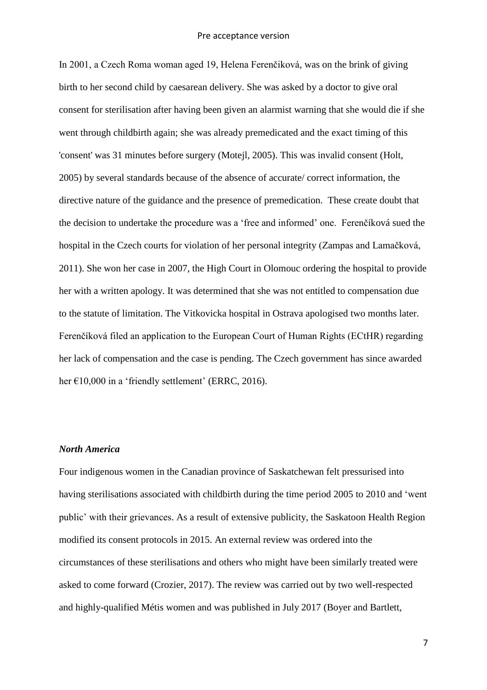In 2001, a Czech Roma woman aged 19, Helena Ferenčiková, was on the brink of giving birth to her second child by caesarean delivery. She was asked by a doctor to give oral consent for sterilisation after having been given an alarmist warning that she would die if she went through childbirth again; she was already premedicated and the exact timing of this 'consent' was 31 minutes before surgery (Motejl, 2005). This was invalid consent (Holt, 2005) by several standards because of the absence of accurate/ correct information, the directive nature of the guidance and the presence of premedication. These create doubt that the decision to undertake the procedure was a 'free and informed' one. Ferenčíková sued the hospital in the Czech courts for violation of her personal integrity (Zampas and Lamačková, 2011). She won her case in 2007, the High Court in Olomouc ordering the hospital to provide her with a written apology. It was determined that she was not entitled to compensation due to the statute of limitation. The Vitkovicka hospital in Ostrava apologised two months later. Ferenčíková filed an application to the European Court of Human Rights (ECtHR) regarding her lack of compensation and the case is pending. The Czech government has since awarded her €10,000 in a 'friendly settlement' (ERRC, 2016).

#### *North America*

Four indigenous women in the Canadian province of Saskatchewan felt pressurised into having sterilisations associated with childbirth during the time period 2005 to 2010 and 'went public' with their grievances. As a result of extensive publicity, the Saskatoon Health Region modified its consent protocols in 2015. An external review was ordered into the circumstances of these sterilisations and others who might have been similarly treated were asked to come forward (Crozier, 2017). The review was carried out by two well-respected and highly-qualified Métis women and was published in July 2017 (Boyer and Bartlett,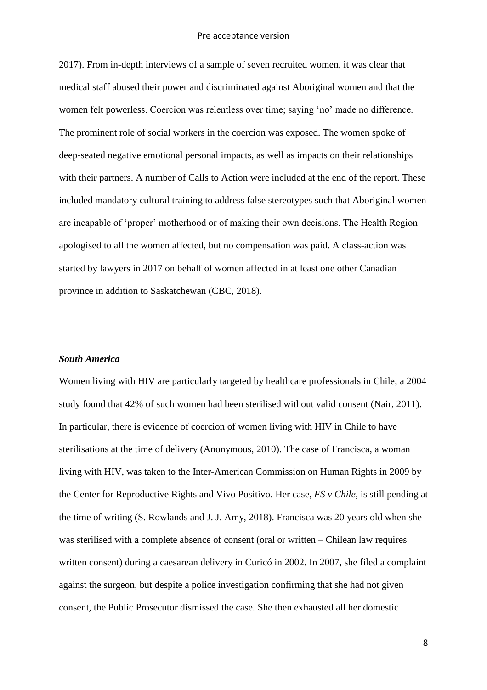2017). From in-depth interviews of a sample of seven recruited women, it was clear that medical staff abused their power and discriminated against Aboriginal women and that the women felt powerless. Coercion was relentless over time; saying 'no' made no difference. The prominent role of social workers in the coercion was exposed. The women spoke of deep-seated negative emotional personal impacts, as well as impacts on their relationships with their partners. A number of Calls to Action were included at the end of the report. These included mandatory cultural training to address false stereotypes such that Aboriginal women are incapable of 'proper' motherhood or of making their own decisions. The Health Region apologised to all the women affected, but no compensation was paid. A class-action was started by lawyers in 2017 on behalf of women affected in at least one other Canadian province in addition to Saskatchewan (CBC, 2018).

#### *South America*

Women living with HIV are particularly targeted by healthcare professionals in Chile; a 2004 study found that 42% of such women had been sterilised without valid consent (Nair, 2011). In particular, there is evidence of coercion of women living with HIV in Chile to have sterilisations at the time of delivery (Anonymous, 2010). The case of Francisca, a woman living with HIV, was taken to the Inter-American Commission on Human Rights in 2009 by the Center for Reproductive Rights and Vivo Positivo. Her case, *FS v Chile*, is still pending at the time of writing (S. Rowlands and J. J. Amy, 2018). Francisca was 20 years old when she was sterilised with a complete absence of consent (oral or written – Chilean law requires written consent) during a caesarean delivery in Curicó in 2002. In 2007, she filed a complaint against the surgeon, but despite a police investigation confirming that she had not given consent, the Public Prosecutor dismissed the case. She then exhausted all her domestic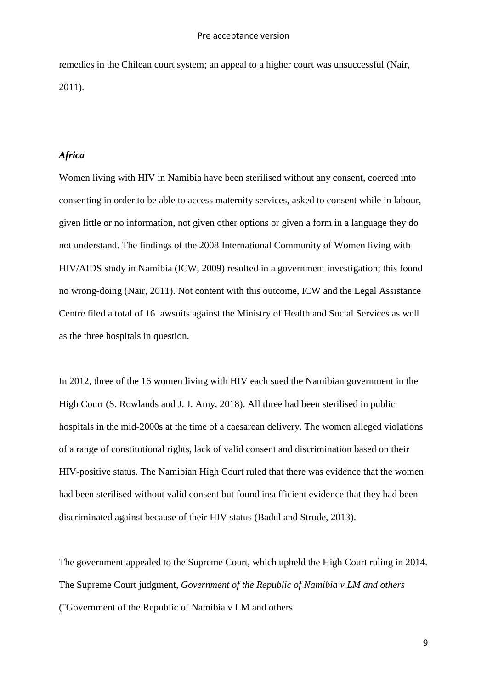remedies in the Chilean court system; an appeal to a higher court was unsuccessful (Nair, 2011).

#### *Africa*

Women living with HIV in Namibia have been sterilised without any consent, coerced into consenting in order to be able to access maternity services, asked to consent while in labour, given little or no information, not given other options or given a form in a language they do not understand. The findings of the 2008 International Community of Women living with HIV/AIDS study in Namibia (ICW, 2009) resulted in a government investigation; this found no wrong-doing (Nair, 2011). Not content with this outcome, ICW and the Legal Assistance Centre filed a total of 16 lawsuits against the Ministry of Health and Social Services as well as the three hospitals in question.

In 2012, three of the 16 women living with HIV each sued the Namibian government in the High Court (S. Rowlands and J. J. Amy, 2018). All three had been sterilised in public hospitals in the mid-2000s at the time of a caesarean delivery. The women alleged violations of a range of constitutional rights, lack of valid consent and discrimination based on their HIV-positive status. The Namibian High Court ruled that there was evidence that the women had been sterilised without valid consent but found insufficient evidence that they had been discriminated against because of their HIV status (Badul and Strode, 2013).

The government appealed to the Supreme Court, which upheld the High Court ruling in 2014. The Supreme Court judgment, *Government of the Republic of Namibia v LM and others*  ("Government of the Republic of Namibia v LM and others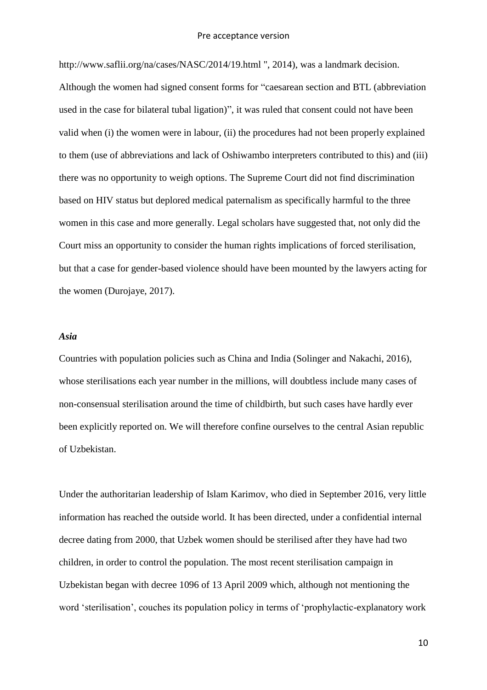http://www.saflii.org/na/cases/NASC/2014/19.html ", 2014), was a landmark decision. Although the women had signed consent forms for "caesarean section and BTL (abbreviation used in the case for bilateral tubal ligation)", it was ruled that consent could not have been valid when (i) the women were in labour, (ii) the procedures had not been properly explained to them (use of abbreviations and lack of Oshiwambo interpreters contributed to this) and (iii) there was no opportunity to weigh options. The Supreme Court did not find discrimination based on HIV status but deplored medical paternalism as specifically harmful to the three women in this case and more generally. Legal scholars have suggested that, not only did the Court miss an opportunity to consider the human rights implications of forced sterilisation, but that a case for gender-based violence should have been mounted by the lawyers acting for the women (Durojaye, 2017).

## *Asia*

Countries with population policies such as China and India (Solinger and Nakachi, 2016), whose sterilisations each year number in the millions, will doubtless include many cases of non-consensual sterilisation around the time of childbirth, but such cases have hardly ever been explicitly reported on. We will therefore confine ourselves to the central Asian republic of Uzbekistan.

Under the authoritarian leadership of Islam Karimov, who died in September 2016, very little information has reached the outside world. It has been directed, under a confidential internal decree dating from 2000, that Uzbek women should be sterilised after they have had two children, in order to control the population. The most recent sterilisation campaign in Uzbekistan began with decree 1096 of 13 April 2009 which, although not mentioning the word 'sterilisation', couches its population policy in terms of 'prophylactic-explanatory work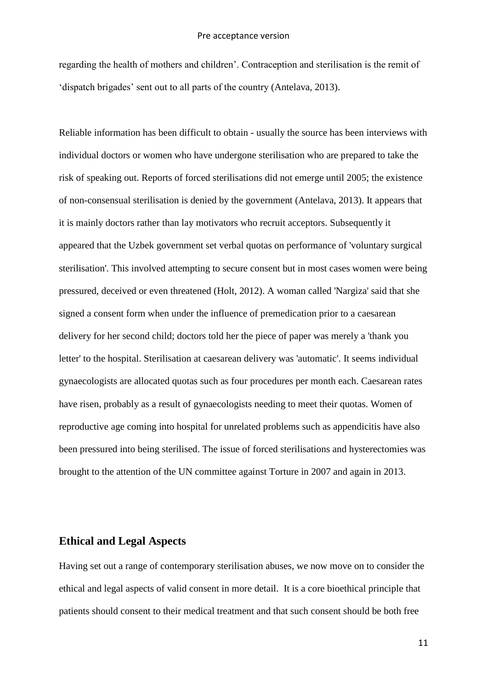regarding the health of mothers and children'. Contraception and sterilisation is the remit of 'dispatch brigades' sent out to all parts of the country (Antelava, 2013).

Reliable information has been difficult to obtain - usually the source has been interviews with individual doctors or women who have undergone sterilisation who are prepared to take the risk of speaking out. Reports of forced sterilisations did not emerge until 2005; the existence of non-consensual sterilisation is denied by the government (Antelava, 2013). It appears that it is mainly doctors rather than lay motivators who recruit acceptors. Subsequently it appeared that the Uzbek government set verbal quotas on performance of 'voluntary surgical sterilisation'. This involved attempting to secure consent but in most cases women were being pressured, deceived or even threatened (Holt, 2012). A woman called 'Nargiza' said that she signed a consent form when under the influence of premedication prior to a caesarean delivery for her second child; doctors told her the piece of paper was merely a 'thank you letter' to the hospital. Sterilisation at caesarean delivery was 'automatic'. It seems individual gynaecologists are allocated quotas such as four procedures per month each. Caesarean rates have risen, probably as a result of gynaecologists needing to meet their quotas. Women of reproductive age coming into hospital for unrelated problems such as appendicitis have also been pressured into being sterilised. The issue of forced sterilisations and hysterectomies was brought to the attention of the UN committee against Torture in 2007 and again in 2013.

## **Ethical and Legal Aspects**

Having set out a range of contemporary sterilisation abuses, we now move on to consider the ethical and legal aspects of valid consent in more detail. It is a core bioethical principle that patients should consent to their medical treatment and that such consent should be both free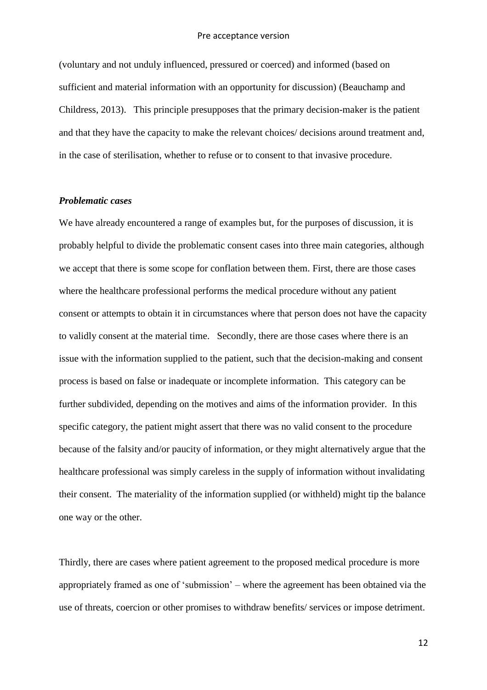(voluntary and not unduly influenced, pressured or coerced) and informed (based on sufficient and material information with an opportunity for discussion) (Beauchamp and Childress, 2013). This principle presupposes that the primary decision-maker is the patient and that they have the capacity to make the relevant choices/ decisions around treatment and, in the case of sterilisation, whether to refuse or to consent to that invasive procedure.

#### *Problematic cases*

We have already encountered a range of examples but, for the purposes of discussion, it is probably helpful to divide the problematic consent cases into three main categories, although we accept that there is some scope for conflation between them. First, there are those cases where the healthcare professional performs the medical procedure without any patient consent or attempts to obtain it in circumstances where that person does not have the capacity to validly consent at the material time. Secondly, there are those cases where there is an issue with the information supplied to the patient, such that the decision-making and consent process is based on false or inadequate or incomplete information. This category can be further subdivided, depending on the motives and aims of the information provider. In this specific category, the patient might assert that there was no valid consent to the procedure because of the falsity and/or paucity of information, or they might alternatively argue that the healthcare professional was simply careless in the supply of information without invalidating their consent. The materiality of the information supplied (or withheld) might tip the balance one way or the other.

Thirdly, there are cases where patient agreement to the proposed medical procedure is more appropriately framed as one of 'submission' – where the agreement has been obtained via the use of threats, coercion or other promises to withdraw benefits/ services or impose detriment.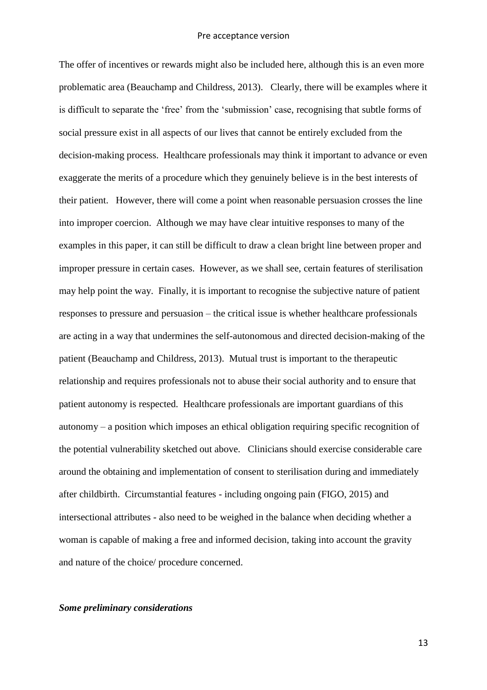The offer of incentives or rewards might also be included here, although this is an even more problematic area (Beauchamp and Childress, 2013). Clearly, there will be examples where it is difficult to separate the 'free' from the 'submission' case, recognising that subtle forms of social pressure exist in all aspects of our lives that cannot be entirely excluded from the decision-making process. Healthcare professionals may think it important to advance or even exaggerate the merits of a procedure which they genuinely believe is in the best interests of their patient. However, there will come a point when reasonable persuasion crosses the line into improper coercion. Although we may have clear intuitive responses to many of the examples in this paper, it can still be difficult to draw a clean bright line between proper and improper pressure in certain cases. However, as we shall see, certain features of sterilisation may help point the way. Finally, it is important to recognise the subjective nature of patient responses to pressure and persuasion – the critical issue is whether healthcare professionals are acting in a way that undermines the self-autonomous and directed decision-making of the patient (Beauchamp and Childress, 2013). Mutual trust is important to the therapeutic relationship and requires professionals not to abuse their social authority and to ensure that patient autonomy is respected. Healthcare professionals are important guardians of this autonomy – a position which imposes an ethical obligation requiring specific recognition of the potential vulnerability sketched out above. Clinicians should exercise considerable care around the obtaining and implementation of consent to sterilisation during and immediately after childbirth. Circumstantial features - including ongoing pain (FIGO, 2015) and intersectional attributes - also need to be weighed in the balance when deciding whether a woman is capable of making a free and informed decision, taking into account the gravity and nature of the choice/ procedure concerned.

#### *Some preliminary considerations*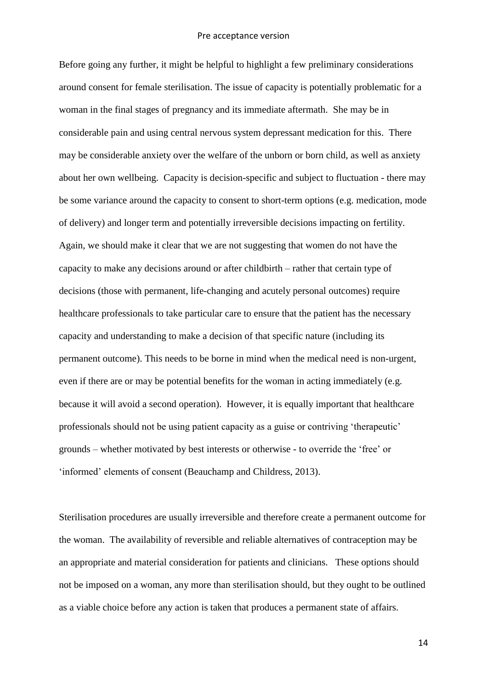Before going any further, it might be helpful to highlight a few preliminary considerations around consent for female sterilisation. The issue of capacity is potentially problematic for a woman in the final stages of pregnancy and its immediate aftermath. She may be in considerable pain and using central nervous system depressant medication for this. There may be considerable anxiety over the welfare of the unborn or born child, as well as anxiety about her own wellbeing. Capacity is decision-specific and subject to fluctuation - there may be some variance around the capacity to consent to short-term options (e.g. medication, mode of delivery) and longer term and potentially irreversible decisions impacting on fertility. Again, we should make it clear that we are not suggesting that women do not have the capacity to make any decisions around or after childbirth – rather that certain type of decisions (those with permanent, life-changing and acutely personal outcomes) require healthcare professionals to take particular care to ensure that the patient has the necessary capacity and understanding to make a decision of that specific nature (including its permanent outcome). This needs to be borne in mind when the medical need is non-urgent, even if there are or may be potential benefits for the woman in acting immediately (e.g. because it will avoid a second operation). However, it is equally important that healthcare professionals should not be using patient capacity as a guise or contriving 'therapeutic' grounds – whether motivated by best interests or otherwise - to override the 'free' or 'informed' elements of consent (Beauchamp and Childress, 2013).

Sterilisation procedures are usually irreversible and therefore create a permanent outcome for the woman. The availability of reversible and reliable alternatives of contraception may be an appropriate and material consideration for patients and clinicians. These options should not be imposed on a woman, any more than sterilisation should, but they ought to be outlined as a viable choice before any action is taken that produces a permanent state of affairs.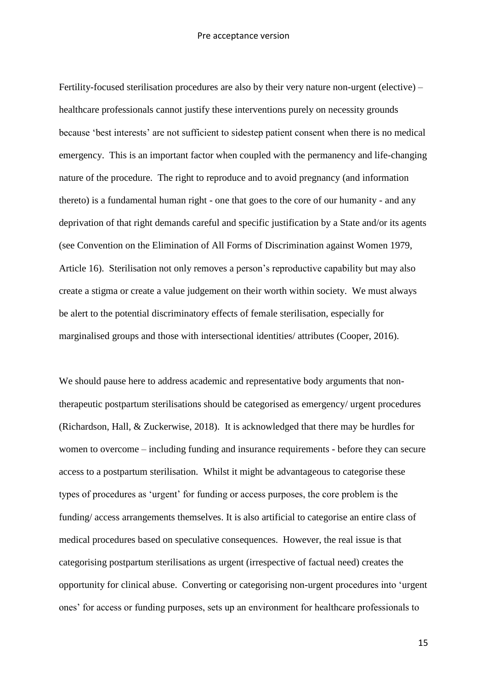Fertility-focused sterilisation procedures are also by their very nature non-urgent (elective) – healthcare professionals cannot justify these interventions purely on necessity grounds because 'best interests' are not sufficient to sidestep patient consent when there is no medical emergency. This is an important factor when coupled with the permanency and life-changing nature of the procedure. The right to reproduce and to avoid pregnancy (and information thereto) is a fundamental human right - one that goes to the core of our humanity - and any deprivation of that right demands careful and specific justification by a State and/or its agents (see Convention on the Elimination of All Forms of Discrimination against Women 1979, Article 16). Sterilisation not only removes a person's reproductive capability but may also create a stigma or create a value judgement on their worth within society. We must always be alert to the potential discriminatory effects of female sterilisation, especially for marginalised groups and those with intersectional identities/ attributes (Cooper, 2016).

We should pause here to address academic and representative body arguments that nontherapeutic postpartum sterilisations should be categorised as emergency/ urgent procedures (Richardson, Hall, & Zuckerwise, 2018). It is acknowledged that there may be hurdles for women to overcome – including funding and insurance requirements - before they can secure access to a postpartum sterilisation. Whilst it might be advantageous to categorise these types of procedures as 'urgent' for funding or access purposes, the core problem is the funding/ access arrangements themselves. It is also artificial to categorise an entire class of medical procedures based on speculative consequences. However, the real issue is that categorising postpartum sterilisations as urgent (irrespective of factual need) creates the opportunity for clinical abuse. Converting or categorising non-urgent procedures into 'urgent ones' for access or funding purposes, sets up an environment for healthcare professionals to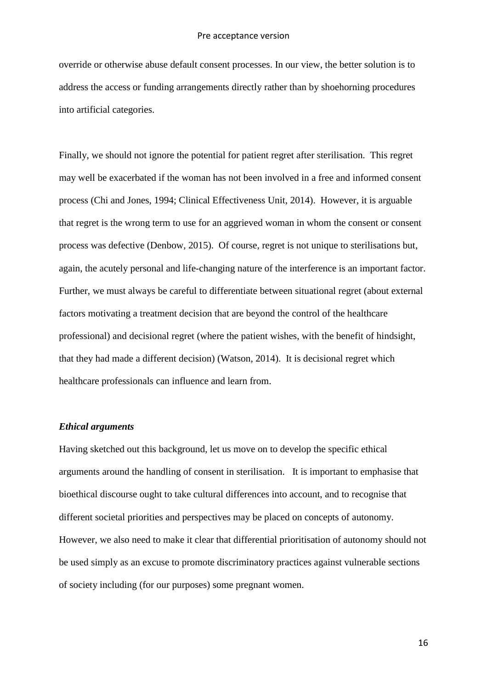override or otherwise abuse default consent processes. In our view, the better solution is to address the access or funding arrangements directly rather than by shoehorning procedures into artificial categories.

Finally, we should not ignore the potential for patient regret after sterilisation. This regret may well be exacerbated if the woman has not been involved in a free and informed consent process (Chi and Jones, 1994; Clinical Effectiveness Unit, 2014). However, it is arguable that regret is the wrong term to use for an aggrieved woman in whom the consent or consent process was defective (Denbow, 2015). Of course, regret is not unique to sterilisations but, again, the acutely personal and life-changing nature of the interference is an important factor. Further, we must always be careful to differentiate between situational regret (about external factors motivating a treatment decision that are beyond the control of the healthcare professional) and decisional regret (where the patient wishes, with the benefit of hindsight, that they had made a different decision) (Watson, 2014). It is decisional regret which healthcare professionals can influence and learn from.

## *Ethical arguments*

Having sketched out this background, let us move on to develop the specific ethical arguments around the handling of consent in sterilisation. It is important to emphasise that bioethical discourse ought to take cultural differences into account, and to recognise that different societal priorities and perspectives may be placed on concepts of autonomy. However, we also need to make it clear that differential prioritisation of autonomy should not be used simply as an excuse to promote discriminatory practices against vulnerable sections of society including (for our purposes) some pregnant women.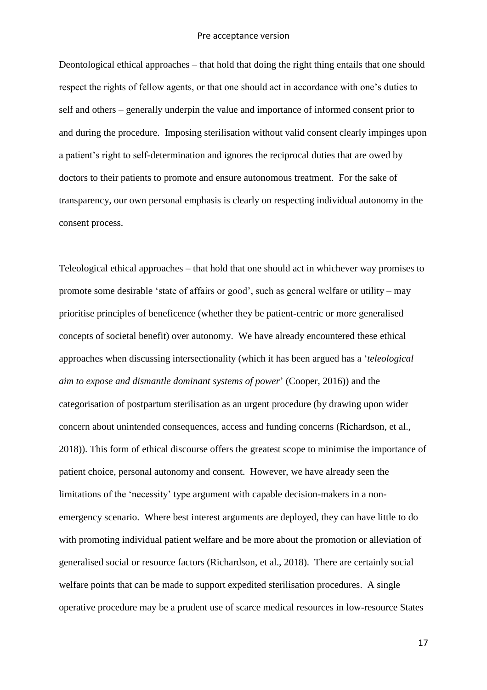Deontological ethical approaches – that hold that doing the right thing entails that one should respect the rights of fellow agents, or that one should act in accordance with one's duties to self and others – generally underpin the value and importance of informed consent prior to and during the procedure. Imposing sterilisation without valid consent clearly impinges upon a patient's right to self-determination and ignores the reciprocal duties that are owed by doctors to their patients to promote and ensure autonomous treatment. For the sake of transparency, our own personal emphasis is clearly on respecting individual autonomy in the consent process.

Teleological ethical approaches – that hold that one should act in whichever way promises to promote some desirable 'state of affairs or good', such as general welfare or utility – may prioritise principles of beneficence (whether they be patient-centric or more generalised concepts of societal benefit) over autonomy. We have already encountered these ethical approaches when discussing intersectionality (which it has been argued has a '*teleological aim to expose and dismantle dominant systems of power*' (Cooper, 2016)) and the categorisation of postpartum sterilisation as an urgent procedure (by drawing upon wider concern about unintended consequences, access and funding concerns (Richardson, et al., 2018)). This form of ethical discourse offers the greatest scope to minimise the importance of patient choice, personal autonomy and consent. However, we have already seen the limitations of the 'necessity' type argument with capable decision-makers in a nonemergency scenario. Where best interest arguments are deployed, they can have little to do with promoting individual patient welfare and be more about the promotion or alleviation of generalised social or resource factors (Richardson, et al., 2018). There are certainly social welfare points that can be made to support expedited sterilisation procedures. A single operative procedure may be a prudent use of scarce medical resources in low-resource States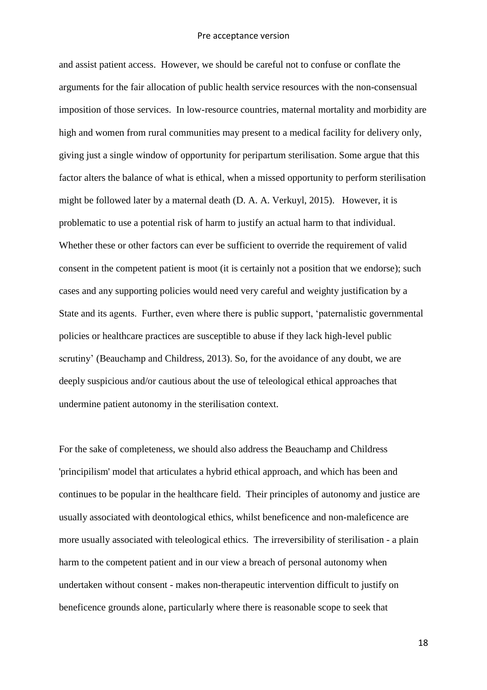and assist patient access. However, we should be careful not to confuse or conflate the arguments for the fair allocation of public health service resources with the non-consensual imposition of those services. In low-resource countries, maternal mortality and morbidity are high and women from rural communities may present to a medical facility for delivery only, giving just a single window of opportunity for peripartum sterilisation. Some argue that this factor alters the balance of what is ethical, when a missed opportunity to perform sterilisation might be followed later by a maternal death (D. A. A. Verkuyl, 2015). However, it is problematic to use a potential risk of harm to justify an actual harm to that individual. Whether these or other factors can ever be sufficient to override the requirement of valid consent in the competent patient is moot (it is certainly not a position that we endorse); such cases and any supporting policies would need very careful and weighty justification by a State and its agents. Further, even where there is public support, 'paternalistic governmental policies or healthcare practices are susceptible to abuse if they lack high-level public scrutiny' (Beauchamp and Childress, 2013). So, for the avoidance of any doubt, we are deeply suspicious and/or cautious about the use of teleological ethical approaches that undermine patient autonomy in the sterilisation context.

For the sake of completeness, we should also address the Beauchamp and Childress 'principilism' model that articulates a hybrid ethical approach, and which has been and continues to be popular in the healthcare field. Their principles of autonomy and justice are usually associated with deontological ethics, whilst beneficence and non-maleficence are more usually associated with teleological ethics. The irreversibility of sterilisation - a plain harm to the competent patient and in our view a breach of personal autonomy when undertaken without consent - makes non-therapeutic intervention difficult to justify on beneficence grounds alone, particularly where there is reasonable scope to seek that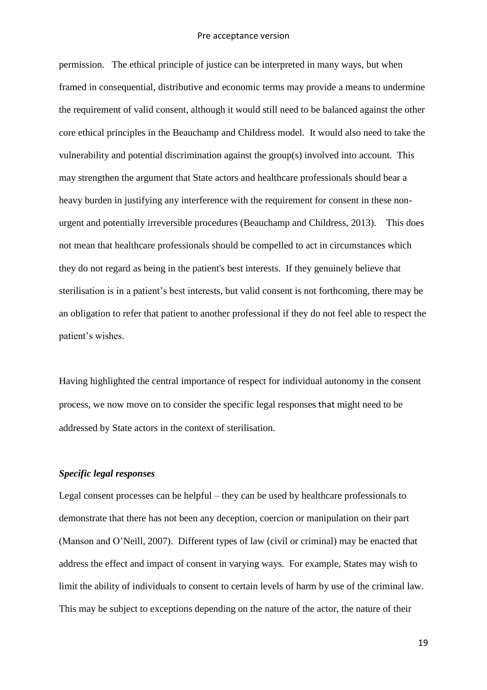permission. The ethical principle of justice can be interpreted in many ways, but when framed in consequential, distributive and economic terms may provide a means to undermine the requirement of valid consent, although it would still need to be balanced against the other core ethical principles in the Beauchamp and Childress model. It would also need to take the vulnerability and potential discrimination against the group(s) involved into account. This may strengthen the argument that State actors and healthcare professionals should bear a heavy burden in justifying any interference with the requirement for consent in these nonurgent and potentially irreversible procedures (Beauchamp and Childress, 2013). This does not mean that healthcare professionals should be compelled to act in circumstances which they do not regard as being in the patient's best interests. If they genuinely believe that sterilisation is in a patient's best interests, but valid consent is not forthcoming, there may be an obligation to refer that patient to another professional if they do not feel able to respect the patient's wishes.

Having highlighted the central importance of respect for individual autonomy in the consent process, we now move on to consider the specific legal responses that might need to be addressed by State actors in the context of sterilisation.

### *Specific legal responses*

Legal consent processes can be helpful – they can be used by healthcare professionals to demonstrate that there has not been any deception, coercion or manipulation on their part (Manson and O'Neill, 2007). Different types of law (civil or criminal) may be enacted that address the effect and impact of consent in varying ways. For example, States may wish to limit the ability of individuals to consent to certain levels of harm by use of the criminal law. This may be subject to exceptions depending on the nature of the actor, the nature of their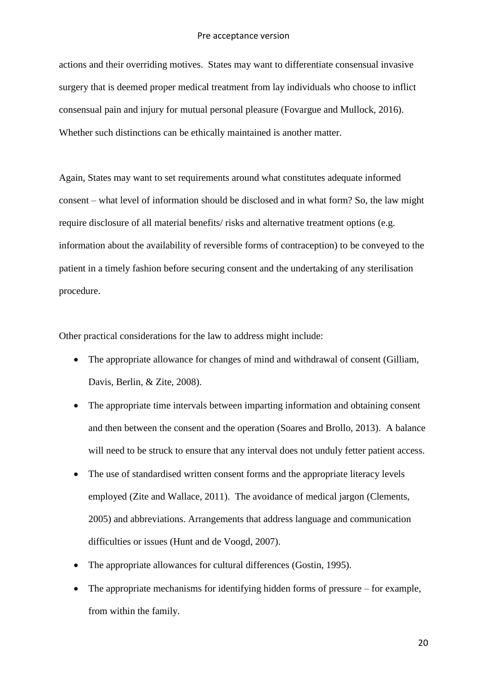actions and their overriding motives. States may want to differentiate consensual invasive surgery that is deemed proper medical treatment from lay individuals who choose to inflict consensual pain and injury for mutual personal pleasure (Fovargue and Mullock, 2016). Whether such distinctions can be ethically maintained is another matter.

Again, States may want to set requirements around what constitutes adequate informed consent – what level of information should be disclosed and in what form? So, the law might require disclosure of all material benefits/ risks and alternative treatment options (e.g. information about the availability of reversible forms of contraception) to be conveyed to the patient in a timely fashion before securing consent and the undertaking of any sterilisation procedure.

Other practical considerations for the law to address might include:

- The appropriate allowance for changes of mind and withdrawal of consent (Gilliam, Davis, Berlin, & Zite, 2008).
- The appropriate time intervals between imparting information and obtaining consent and then between the consent and the operation (Soares and Brollo, 2013). A balance will need to be struck to ensure that any interval does not unduly fetter patient access.
- The use of standardised written consent forms and the appropriate literacy levels employed (Zite and Wallace, 2011). The avoidance of medical jargon (Clements, 2005) and abbreviations. Arrangements that address language and communication difficulties or issues (Hunt and de Voogd, 2007).
- The appropriate allowances for cultural differences (Gostin, 1995).
- The appropriate mechanisms for identifying hidden forms of pressure for example, from within the family.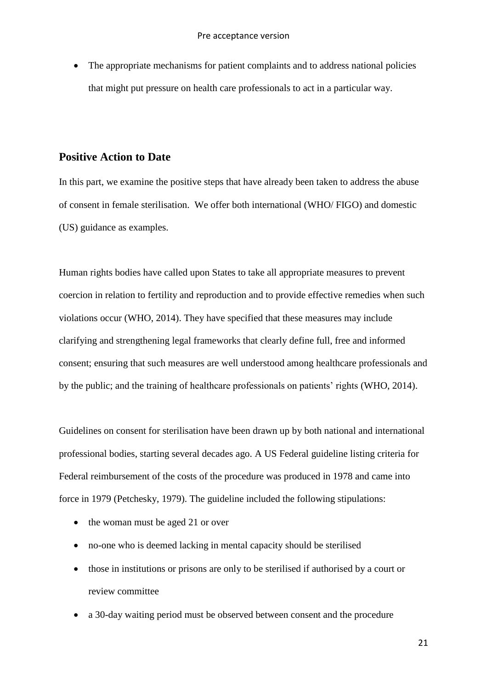• The appropriate mechanisms for patient complaints and to address national policies that might put pressure on health care professionals to act in a particular way.

## **Positive Action to Date**

In this part, we examine the positive steps that have already been taken to address the abuse of consent in female sterilisation. We offer both international (WHO/ FIGO) and domestic (US) guidance as examples.

Human rights bodies have called upon States to take all appropriate measures to prevent coercion in relation to fertility and reproduction and to provide effective remedies when such violations occur (WHO, 2014). They have specified that these measures may include clarifying and strengthening legal frameworks that clearly define full, free and informed consent; ensuring that such measures are well understood among healthcare professionals and by the public; and the training of healthcare professionals on patients' rights (WHO, 2014).

Guidelines on consent for sterilisation have been drawn up by both national and international professional bodies, starting several decades ago. A US Federal guideline listing criteria for Federal reimbursement of the costs of the procedure was produced in 1978 and came into force in 1979 (Petchesky, 1979). The guideline included the following stipulations:

- the woman must be aged 21 or over
- no-one who is deemed lacking in mental capacity should be sterilised
- those in institutions or prisons are only to be sterilised if authorised by a court or review committee
- a 30-day waiting period must be observed between consent and the procedure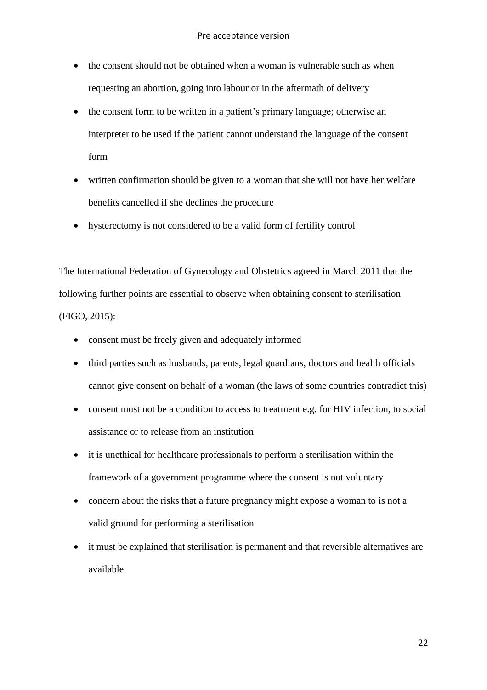- the consent should not be obtained when a woman is vulnerable such as when requesting an abortion, going into labour or in the aftermath of delivery
- the consent form to be written in a patient's primary language; otherwise an interpreter to be used if the patient cannot understand the language of the consent form
- written confirmation should be given to a woman that she will not have her welfare benefits cancelled if she declines the procedure
- hysterectomy is not considered to be a valid form of fertility control

The International Federation of Gynecology and Obstetrics agreed in March 2011 that the following further points are essential to observe when obtaining consent to sterilisation (FIGO, 2015):

- consent must be freely given and adequately informed
- third parties such as husbands, parents, legal guardians, doctors and health officials cannot give consent on behalf of a woman (the laws of some countries contradict this)
- consent must not be a condition to access to treatment e.g. for HIV infection, to social assistance or to release from an institution
- it is unethical for healthcare professionals to perform a sterilisation within the framework of a government programme where the consent is not voluntary
- concern about the risks that a future pregnancy might expose a woman to is not a valid ground for performing a sterilisation
- it must be explained that sterilisation is permanent and that reversible alternatives are available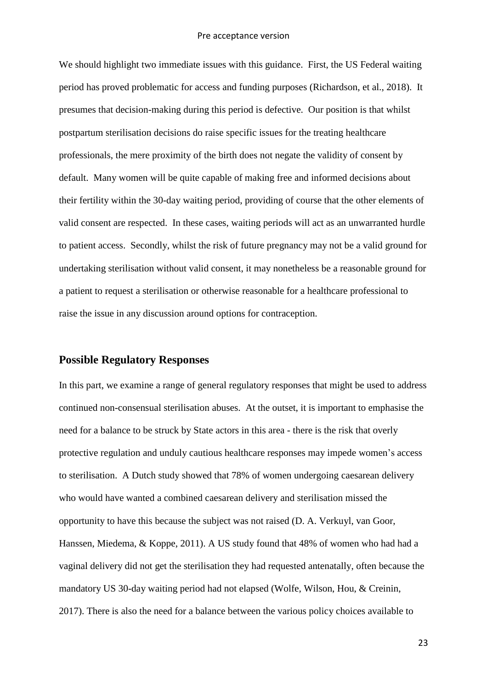We should highlight two immediate issues with this guidance. First, the US Federal waiting period has proved problematic for access and funding purposes (Richardson, et al., 2018). It presumes that decision-making during this period is defective. Our position is that whilst postpartum sterilisation decisions do raise specific issues for the treating healthcare professionals, the mere proximity of the birth does not negate the validity of consent by default. Many women will be quite capable of making free and informed decisions about their fertility within the 30-day waiting period, providing of course that the other elements of valid consent are respected. In these cases, waiting periods will act as an unwarranted hurdle to patient access. Secondly, whilst the risk of future pregnancy may not be a valid ground for undertaking sterilisation without valid consent, it may nonetheless be a reasonable ground for a patient to request a sterilisation or otherwise reasonable for a healthcare professional to raise the issue in any discussion around options for contraception.

## **Possible Regulatory Responses**

In this part, we examine a range of general regulatory responses that might be used to address continued non-consensual sterilisation abuses. At the outset, it is important to emphasise the need for a balance to be struck by State actors in this area - there is the risk that overly protective regulation and unduly cautious healthcare responses may impede women's access to sterilisation. A Dutch study showed that 78% of women undergoing caesarean delivery who would have wanted a combined caesarean delivery and sterilisation missed the opportunity to have this because the subject was not raised (D. A. Verkuyl, van Goor, Hanssen, Miedema, & Koppe, 2011). A US study found that 48% of women who had had a vaginal delivery did not get the sterilisation they had requested antenatally, often because the mandatory US 30-day waiting period had not elapsed (Wolfe, Wilson, Hou, & Creinin, 2017). There is also the need for a balance between the various policy choices available to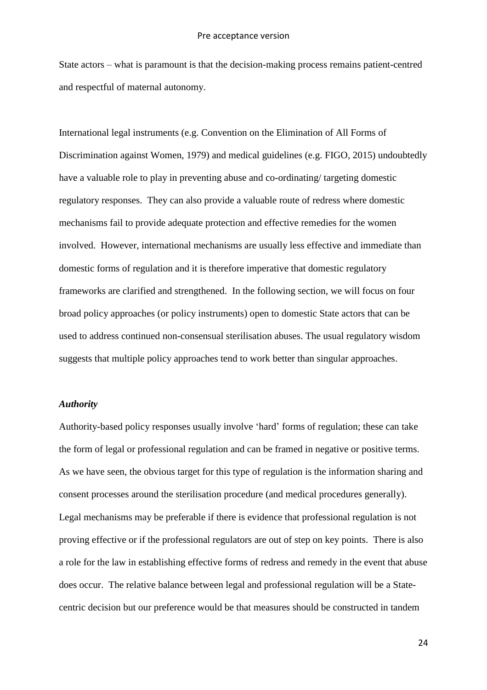State actors – what is paramount is that the decision-making process remains patient-centred and respectful of maternal autonomy.

International legal instruments (e.g. Convention on the Elimination of All Forms of Discrimination against Women, 1979) and medical guidelines (e.g. FIGO, 2015) undoubtedly have a valuable role to play in preventing abuse and co-ordinating/ targeting domestic regulatory responses. They can also provide a valuable route of redress where domestic mechanisms fail to provide adequate protection and effective remedies for the women involved. However, international mechanisms are usually less effective and immediate than domestic forms of regulation and it is therefore imperative that domestic regulatory frameworks are clarified and strengthened. In the following section, we will focus on four broad policy approaches (or policy instruments) open to domestic State actors that can be used to address continued non-consensual sterilisation abuses. The usual regulatory wisdom suggests that multiple policy approaches tend to work better than singular approaches.

#### *Authority*

Authority-based policy responses usually involve 'hard' forms of regulation; these can take the form of legal or professional regulation and can be framed in negative or positive terms. As we have seen, the obvious target for this type of regulation is the information sharing and consent processes around the sterilisation procedure (and medical procedures generally). Legal mechanisms may be preferable if there is evidence that professional regulation is not proving effective or if the professional regulators are out of step on key points. There is also a role for the law in establishing effective forms of redress and remedy in the event that abuse does occur. The relative balance between legal and professional regulation will be a Statecentric decision but our preference would be that measures should be constructed in tandem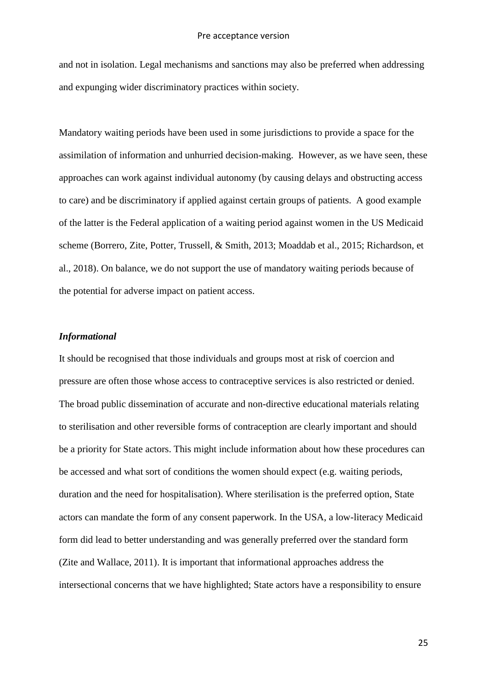and not in isolation. Legal mechanisms and sanctions may also be preferred when addressing and expunging wider discriminatory practices within society.

Mandatory waiting periods have been used in some jurisdictions to provide a space for the assimilation of information and unhurried decision-making. However, as we have seen, these approaches can work against individual autonomy (by causing delays and obstructing access to care) and be discriminatory if applied against certain groups of patients. A good example of the latter is the Federal application of a waiting period against women in the US Medicaid scheme (Borrero, Zite, Potter, Trussell, & Smith, 2013; Moaddab et al., 2015; Richardson, et al., 2018). On balance, we do not support the use of mandatory waiting periods because of the potential for adverse impact on patient access.

## *Informational*

It should be recognised that those individuals and groups most at risk of coercion and pressure are often those whose access to contraceptive services is also restricted or denied. The broad public dissemination of accurate and non-directive educational materials relating to sterilisation and other reversible forms of contraception are clearly important and should be a priority for State actors. This might include information about how these procedures can be accessed and what sort of conditions the women should expect (e.g. waiting periods, duration and the need for hospitalisation). Where sterilisation is the preferred option, State actors can mandate the form of any consent paperwork. In the USA, a low-literacy Medicaid form did lead to better understanding and was generally preferred over the standard form (Zite and Wallace, 2011). It is important that informational approaches address the intersectional concerns that we have highlighted; State actors have a responsibility to ensure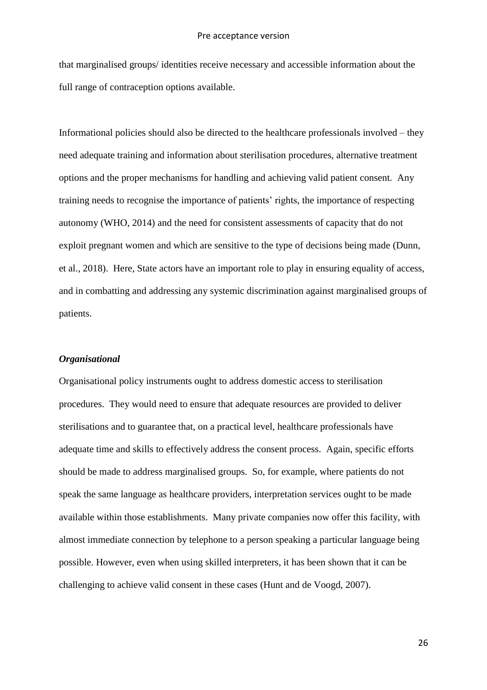that marginalised groups/ identities receive necessary and accessible information about the full range of contraception options available.

Informational policies should also be directed to the healthcare professionals involved – they need adequate training and information about sterilisation procedures, alternative treatment options and the proper mechanisms for handling and achieving valid patient consent. Any training needs to recognise the importance of patients' rights, the importance of respecting autonomy (WHO, 2014) and the need for consistent assessments of capacity that do not exploit pregnant women and which are sensitive to the type of decisions being made (Dunn, et al., 2018). Here, State actors have an important role to play in ensuring equality of access, and in combatting and addressing any systemic discrimination against marginalised groups of patients.

#### *Organisational*

Organisational policy instruments ought to address domestic access to sterilisation procedures. They would need to ensure that adequate resources are provided to deliver sterilisations and to guarantee that, on a practical level, healthcare professionals have adequate time and skills to effectively address the consent process. Again, specific efforts should be made to address marginalised groups. So, for example, where patients do not speak the same language as healthcare providers, interpretation services ought to be made available within those establishments. Many private companies now offer this facility, with almost immediate connection by telephone to a person speaking a particular language being possible. However, even when using skilled interpreters, it has been shown that it can be challenging to achieve valid consent in these cases (Hunt and de Voogd, 2007).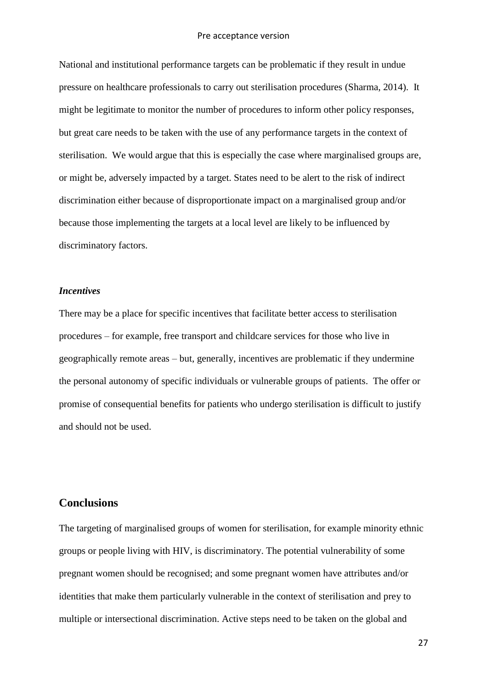National and institutional performance targets can be problematic if they result in undue pressure on healthcare professionals to carry out sterilisation procedures (Sharma, 2014). It might be legitimate to monitor the number of procedures to inform other policy responses, but great care needs to be taken with the use of any performance targets in the context of sterilisation. We would argue that this is especially the case where marginalised groups are, or might be, adversely impacted by a target. States need to be alert to the risk of indirect discrimination either because of disproportionate impact on a marginalised group and/or because those implementing the targets at a local level are likely to be influenced by discriminatory factors.

#### *Incentives*

There may be a place for specific incentives that facilitate better access to sterilisation procedures – for example, free transport and childcare services for those who live in geographically remote areas – but, generally, incentives are problematic if they undermine the personal autonomy of specific individuals or vulnerable groups of patients. The offer or promise of consequential benefits for patients who undergo sterilisation is difficult to justify and should not be used.

## **Conclusions**

The targeting of marginalised groups of women for sterilisation, for example minority ethnic groups or people living with HIV, is discriminatory. The potential vulnerability of some pregnant women should be recognised; and some pregnant women have attributes and/or identities that make them particularly vulnerable in the context of sterilisation and prey to multiple or intersectional discrimination. Active steps need to be taken on the global and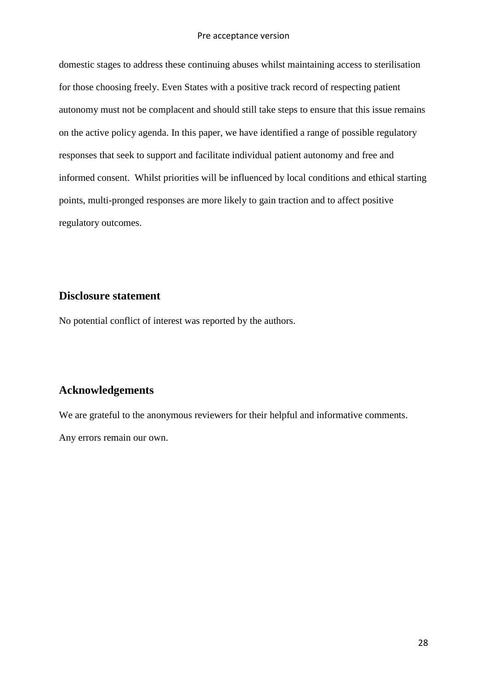domestic stages to address these continuing abuses whilst maintaining access to sterilisation for those choosing freely. Even States with a positive track record of respecting patient autonomy must not be complacent and should still take steps to ensure that this issue remains on the active policy agenda. In this paper, we have identified a range of possible regulatory responses that seek to support and facilitate individual patient autonomy and free and informed consent. Whilst priorities will be influenced by local conditions and ethical starting points, multi-pronged responses are more likely to gain traction and to affect positive regulatory outcomes.

## **Disclosure statement**

No potential conflict of interest was reported by the authors.

## **Acknowledgements**

We are grateful to the anonymous reviewers for their helpful and informative comments.

Any errors remain our own.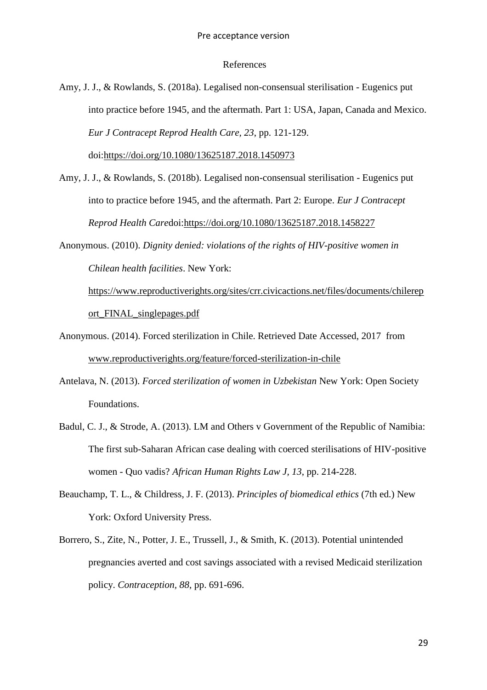#### References

Amy, J. J., & Rowlands, S. (2018a). Legalised non-consensual sterilisation - Eugenics put into practice before 1945, and the aftermath. Part 1: USA, Japan, Canada and Mexico. *Eur J Contracept Reprod Health Care, 23*, pp. 121-129. doi[:https://doi.org/10.1080/13625187.2018.1450973](https://doi.org/10.1080/13625187.2018.1450973)

Amy, J. J., & Rowlands, S. (2018b). Legalised non-consensual sterilisation - Eugenics put into to practice before 1945, and the aftermath. Part 2: Europe. *Eur J Contracept Reprod Health Care*doi[:https://doi.org/10.1080/13625187.2018.1458227](https://doi.org/10.1080/13625187.2018.1458227)

Anonymous. (2010). *Dignity denied: violations of the rights of HIV-positive women in Chilean health facilities*. New York:

[https://www.reproductiverights.org/sites/crr.civicactions.net/files/documents/chilerep](https://www.reproductiverights.org/sites/crr.civicactions.net/files/documents/chilereport_FINAL_singlepages.pdf) [ort\\_FINAL\\_singlepages.pdf](https://www.reproductiverights.org/sites/crr.civicactions.net/files/documents/chilereport_FINAL_singlepages.pdf) 

- Anonymous. (2014). Forced sterilization in Chile. Retrieved Date Accessed, 2017 from [www.reproductiverights.org/feature/forced-sterilization-in-chile](file:///C:/Users/jwale/AppData/Local/Microsoft/Windows/Temporary%20Internet%20Files/Content.Outlook/W1AS02QL/www.reproductiverights.org/feature/forced-sterilization-in-chile)
- Antelava, N. (2013). *Forced sterilization of women in Uzbekistan* New York: Open Society Foundations.
- Badul, C. J., & Strode, A. (2013). LM and Others v Government of the Republic of Namibia: The first sub-Saharan African case dealing with coerced sterilisations of HIV-positive women - Quo vadis? *African Human Rights Law J, 13*, pp. 214-228.
- Beauchamp, T. L., & Childress, J. F. (2013). *Principles of biomedical ethics* (7th ed.) New York: Oxford University Press.
- Borrero, S., Zite, N., Potter, J. E., Trussell, J., & Smith, K. (2013). Potential unintended pregnancies averted and cost savings associated with a revised Medicaid sterilization policy. *Contraception, 88*, pp. 691-696.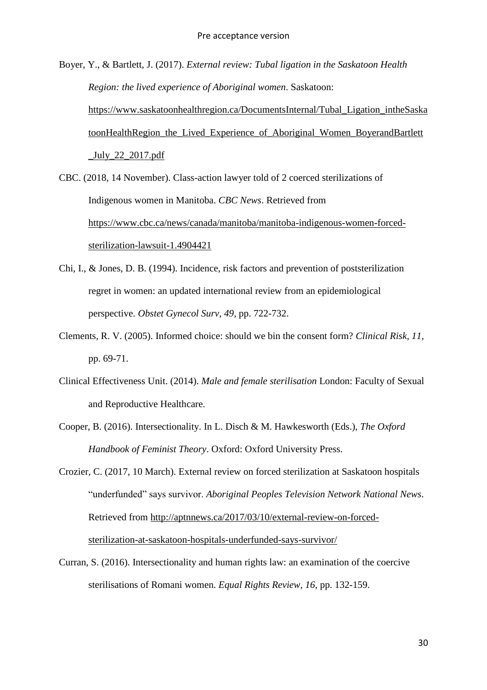Boyer, Y., & Bartlett, J. (2017). *External review: Tubal ligation in the Saskatoon Health Region: the lived experience of Aboriginal women*. Saskatoon: [https://www.saskatoonhealthregion.ca/DocumentsInternal/Tubal\\_Ligation\\_intheSaska](https://www.saskatoonhealthregion.ca/DocumentsInternal/Tubal_Ligation_intheSaskatoonHealthRegion_the_Lived_Experience_of_Aboriginal_Women_BoyerandBartlett_July_22_2017.pdf) [toonHealthRegion\\_the\\_Lived\\_Experience\\_of\\_Aboriginal\\_Women\\_BoyerandBartlett](https://www.saskatoonhealthregion.ca/DocumentsInternal/Tubal_Ligation_intheSaskatoonHealthRegion_the_Lived_Experience_of_Aboriginal_Women_BoyerandBartlett_July_22_2017.pdf) [\\_July\\_22\\_2017.pdf](https://www.saskatoonhealthregion.ca/DocumentsInternal/Tubal_Ligation_intheSaskatoonHealthRegion_the_Lived_Experience_of_Aboriginal_Women_BoyerandBartlett_July_22_2017.pdf)

CBC. (2018, 14 November). Class-action lawyer told of 2 coerced sterilizations of Indigenous women in Manitoba. *CBC News*. Retrieved from [https://www.cbc.ca/news/canada/manitoba/manitoba-indigenous-women-forced](https://www.cbc.ca/news/canada/manitoba/manitoba-indigenous-women-forced-sterilization-lawsuit-1.4904421)[sterilization-lawsuit-1.4904421](https://www.cbc.ca/news/canada/manitoba/manitoba-indigenous-women-forced-sterilization-lawsuit-1.4904421)

- Chi, I., & Jones, D. B. (1994). Incidence, risk factors and prevention of poststerilization regret in women: an updated international review from an epidemiological perspective. *Obstet Gynecol Surv, 49*, pp. 722-732.
- Clements, R. V. (2005). Informed choice: should we bin the consent form? *Clinical Risk, 11*, pp. 69-71.
- Clinical Effectiveness Unit. (2014). *Male and female sterilisation* London: Faculty of Sexual and Reproductive Healthcare.
- Cooper, B. (2016). Intersectionality. In L. Disch & M. Hawkesworth (Eds.), *The Oxford Handbook of Feminist Theory*. Oxford: Oxford University Press.

Crozier, C. (2017, 10 March). External review on forced sterilization at Saskatoon hospitals "underfunded" says survivor. *Aboriginal Peoples Television Network National News*. Retrieved from [http://aptnnews.ca/2017/03/10/external-review-on-forced](http://aptnnews.ca/2017/03/10/external-review-on-forced-sterilization-at-saskatoon-hospitals-underfunded-says-survivor/)[sterilization-at-saskatoon-hospitals-underfunded-says-survivor/](http://aptnnews.ca/2017/03/10/external-review-on-forced-sterilization-at-saskatoon-hospitals-underfunded-says-survivor/)

Curran, S. (2016). Intersectionality and human rights law: an examination of the coercive sterilisations of Romani women. *Equal Rights Review, 16*, pp. 132-159.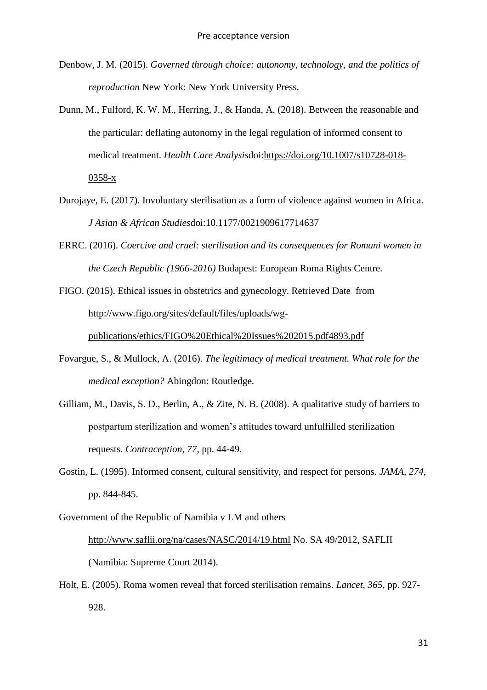- Denbow, J. M. (2015). *Governed through choice: autonomy, technology, and the politics of reproduction* New York: New York University Press.
- Dunn, M., Fulford, K. W. M., Herring, J., & Handa, A. (2018). Between the reasonable and the particular: deflating autonomy in the legal regulation of informed consent to medical treatment. *Health Care Analysis*doi[:https://doi.org/10.1007/s10728-018-](https://doi.org/10.1007/s10728-018-0358-x) [0358-x](https://doi.org/10.1007/s10728-018-0358-x)
- Durojaye, E. (2017). Involuntary sterilisation as a form of violence against women in Africa. *J Asian & African Studies*doi:10.1177/0021909617714637
- ERRC. (2016). *Coercive and cruel: sterilisation and its consequences for Romani women in the Czech Republic (1966-2016)* Budapest: European Roma Rights Centre.
- FIGO. (2015). Ethical issues in obstetrics and gynecology. Retrieved Date from [http://www.figo.org/sites/default/files/uploads/wg-](http://www.figo.org/sites/default/files/uploads/wg-publications/ethics/FIGO%20Ethical%20Issues%202015.pdf4893.pdf)

[publications/ethics/FIGO%20Ethical%20Issues%202015.pdf4893.pdf](http://www.figo.org/sites/default/files/uploads/wg-publications/ethics/FIGO%20Ethical%20Issues%202015.pdf4893.pdf)

- Fovargue, S., & Mullock, A. (2016). *The legitimacy of medical treatment. What role for the medical exception?* Abingdon: Routledge.
- Gilliam, M., Davis, S. D., Berlin, A., & Zite, N. B. (2008). A qualitative study of barriers to postpartum sterilization and women's attitudes toward unfulfilled sterilization requests. *Contraception, 77*, pp. 44-49.
- Gostin, L. (1995). Informed consent, cultural sensitivity, and respect for persons. *JAMA, 274*, pp. 844-845.
- Government of the Republic of Namibia v LM and others <http://www.saflii.org/na/cases/NASC/2014/19.html> No. SA 49/2012, SAFLII (Namibia: Supreme Court 2014).
- Holt, E. (2005). Roma women reveal that forced sterilisation remains. *Lancet, 365*, pp. 927- 928.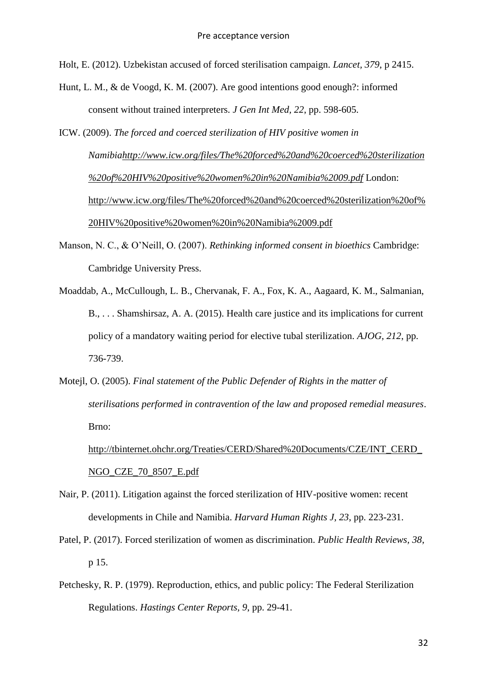Holt, E. (2012). Uzbekistan accused of forced sterilisation campaign. *Lancet, 379*, p 2415.

Hunt, L. M., & de Voogd, K. M. (2007). Are good intentions good enough?: informed consent without trained interpreters. *J Gen Int Med, 22*, pp. 598-605.

ICW. (2009). *The forced and coerced sterilization of HIV positive women in Namibi[ahttp://www.icw.org/files/The%20forced%20and%20coerced%20sterilization](http://www.icw.org/files/The%20forced%20and%20coerced%20sterilization%20of%20HIV%20positive%20women%20in%20Namibia%2009.pdf) [%20of%20HIV%20positive%20women%20in%20Namibia%2009.pdf](http://www.icw.org/files/The%20forced%20and%20coerced%20sterilization%20of%20HIV%20positive%20women%20in%20Namibia%2009.pdf)* London: [http://www.icw.org/files/The%20forced%20and%20coerced%20sterilization%20of%](http://www.icw.org/files/The%20forced%20and%20coerced%20sterilization%20of%20HIV%20positive%20women%20in%20Namibia%2009.pdf) [20HIV%20positive%20women%20in%20Namibia%2009.pdf](http://www.icw.org/files/The%20forced%20and%20coerced%20sterilization%20of%20HIV%20positive%20women%20in%20Namibia%2009.pdf)

- Manson, N. C., & O'Neill, O. (2007). *Rethinking informed consent in bioethics* Cambridge: Cambridge University Press.
- Moaddab, A., McCullough, L. B., Chervanak, F. A., Fox, K. A., Aagaard, K. M., Salmanian, B., . . . Shamshirsaz, A. A. (2015). Health care justice and its implications for current policy of a mandatory waiting period for elective tubal sterilization. *AJOG, 212*, pp. 736-739.
- Motejl, O. (2005). *Final statement of the Public Defender of Rights in the matter of sterilisations performed in contravention of the law and proposed remedial measures*. Brno:

[http://tbinternet.ohchr.org/Treaties/CERD/Shared%20Documents/CZE/INT\\_CERD\\_](http://tbinternet.ohchr.org/Treaties/CERD/Shared%20Documents/CZE/INT_CERD_NGO_CZE_70_8507_E.pdf) [NGO\\_CZE\\_70\\_8507\\_E.pdf](http://tbinternet.ohchr.org/Treaties/CERD/Shared%20Documents/CZE/INT_CERD_NGO_CZE_70_8507_E.pdf)

- Nair, P. (2011). Litigation against the forced sterilization of HIV-positive women: recent developments in Chile and Namibia. *Harvard Human Rights J, 23*, pp. 223-231.
- Patel, P. (2017). Forced sterilization of women as discrimination. *Public Health Reviews, 38*, p 15.
- Petchesky, R. P. (1979). Reproduction, ethics, and public policy: The Federal Sterilization Regulations. *Hastings Center Reports, 9*, pp. 29-41.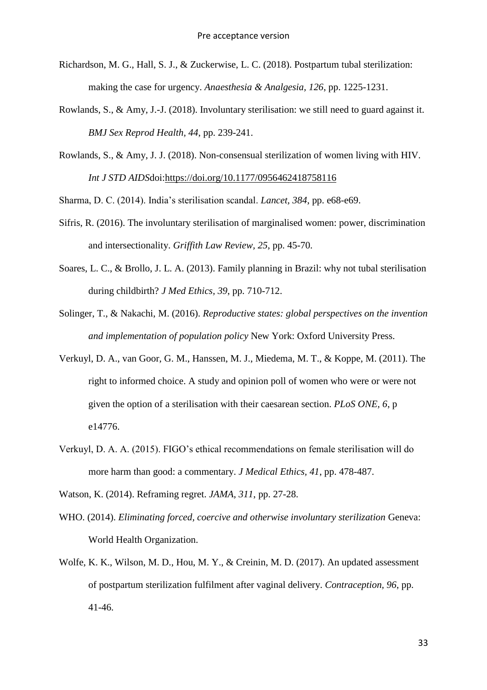- Richardson, M. G., Hall, S. J., & Zuckerwise, L. C. (2018). Postpartum tubal sterilization: making the case for urgency. *Anaesthesia & Analgesia, 126*, pp. 1225-1231.
- Rowlands, S., & Amy, J.-J. (2018). Involuntary sterilisation: we still need to guard against it. *BMJ Sex Reprod Health, 44*, pp. 239-241.
- Rowlands, S., & Amy, J. J. (2018). Non-consensual sterilization of women living with HIV. *Int J STD AIDS*doi[:https://doi.org/10.1177/0956462418758116](https://doi.org/10.1177/0956462418758116)

Sharma, D. C. (2014). India's sterilisation scandal. *Lancet, 384*, pp. e68-e69.

- Sifris, R. (2016). The involuntary sterilisation of marginalised women: power, discrimination and intersectionality. *Griffith Law Review, 25*, pp. 45-70.
- Soares, L. C., & Brollo, J. L. A. (2013). Family planning in Brazil: why not tubal sterilisation during childbirth? *J Med Ethics, 39*, pp. 710-712.
- Solinger, T., & Nakachi, M. (2016). *Reproductive states: global perspectives on the invention and implementation of population policy* New York: Oxford University Press.
- Verkuyl, D. A., van Goor, G. M., Hanssen, M. J., Miedema, M. T., & Koppe, M. (2011). The right to informed choice. A study and opinion poll of women who were or were not given the option of a sterilisation with their caesarean section. *PLoS ONE, 6*, p e14776.
- Verkuyl, D. A. A. (2015). FIGO's ethical recommendations on female sterilisation will do more harm than good: a commentary. *J Medical Ethics, 41*, pp. 478-487.
- Watson, K. (2014). Reframing regret. *JAMA, 311*, pp. 27-28.
- WHO. (2014). *Eliminating forced, coercive and otherwise involuntary sterilization* Geneva: World Health Organization.
- Wolfe, K. K., Wilson, M. D., Hou, M. Y., & Creinin, M. D. (2017). An updated assessment of postpartum sterilization fulfilment after vaginal delivery. *Contraception, 96*, pp. 41-46.